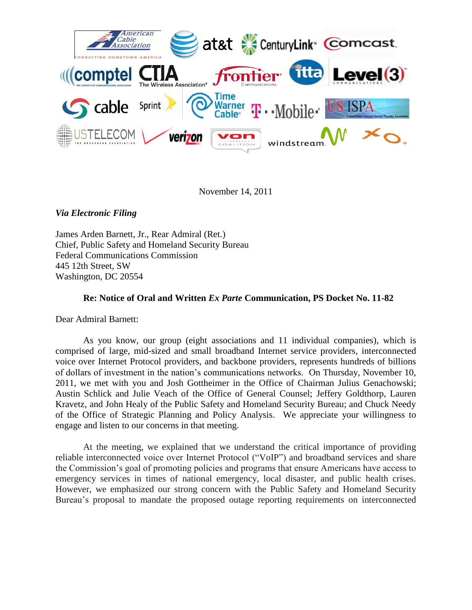

November 14, 2011

*Via Electronic Filing*

James Arden Barnett, Jr., Rear Admiral (Ret.) Chief, Public Safety and Homeland Security Bureau Federal Communications Commission 445 12th Street, SW Washington, DC 20554

## **Re: Notice of Oral and Written** *Ex Parte* **Communication, PS Docket No. 11-82**

Dear Admiral Barnett:

As you know, our group (eight associations and 11 individual companies), which is comprised of large, mid-sized and small broadband Internet service providers, interconnected voice over Internet Protocol providers, and backbone providers, represents hundreds of billions of dollars of investment in the nation's communications networks. On Thursday, November 10, 2011, we met with you and Josh Gottheimer in the Office of Chairman Julius Genachowski; Austin Schlick and Julie Veach of the Office of General Counsel; Jeffery Goldthorp, Lauren Kravetz, and John Healy of the Public Safety and Homeland Security Bureau; and Chuck Needy of the Office of Strategic Planning and Policy Analysis. We appreciate your willingness to engage and listen to our concerns in that meeting.

At the meeting, we explained that we understand the critical importance of providing reliable interconnected voice over Internet Protocol ("VoIP") and broadband services and share the Commission's goal of promoting policies and programs that ensure Americans have access to emergency services in times of national emergency, local disaster, and public health crises. However, we emphasized our strong concern with the Public Safety and Homeland Security Bureau's proposal to mandate the proposed outage reporting requirements on interconnected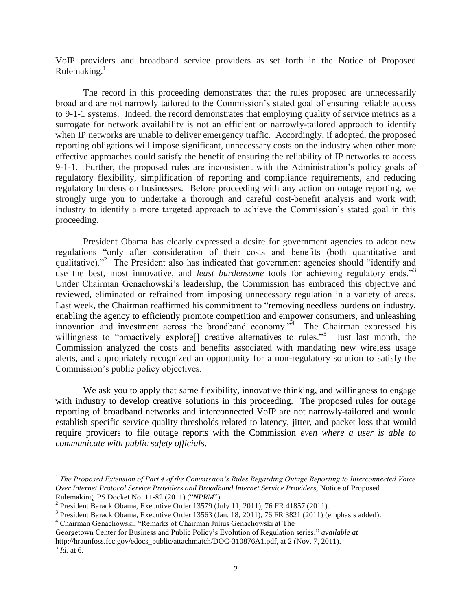VoIP providers and broadband service providers as set forth in the Notice of Proposed Rulemaking. $1$ 

The record in this proceeding demonstrates that the rules proposed are unnecessarily broad and are not narrowly tailored to the Commission's stated goal of ensuring reliable access to 9-1-1 systems. Indeed, the record demonstrates that employing quality of service metrics as a surrogate for network availability is not an efficient or narrowly-tailored approach to identify when IP networks are unable to deliver emergency traffic. Accordingly, if adopted, the proposed reporting obligations will impose significant, unnecessary costs on the industry when other more effective approaches could satisfy the benefit of ensuring the reliability of IP networks to access 9-1-1. Further, the proposed rules are inconsistent with the Administration's policy goals of regulatory flexibility, simplification of reporting and compliance requirements, and reducing regulatory burdens on businesses. Before proceeding with any action on outage reporting, we strongly urge you to undertake a thorough and careful cost-benefit analysis and work with industry to identify a more targeted approach to achieve the Commission's stated goal in this proceeding.

President Obama has clearly expressed a desire for government agencies to adopt new regulations "only after consideration of their costs and benefits (both quantitative and qualitative)."<sup>2</sup> The President also has indicated that government agencies should "identify and use the best, most innovative, and *least burdensome* tools for achieving regulatory ends."<sup>3</sup> Under Chairman Genachowski's leadership, the Commission has embraced this objective and reviewed, eliminated or refrained from imposing unnecessary regulation in a variety of areas. Last week, the Chairman reaffirmed his commitment to "removing needless burdens on industry, enabling the agency to efficiently promote competition and empower consumers, and unleashing innovation and investment across the broadband economy."<sup>4</sup> The Chairman expressed his willingness to "proactively explore<sup>[]</sup> creative alternatives to rules."<sup>5</sup> Just last month, the Commission analyzed the costs and benefits associated with mandating new wireless usage alerts, and appropriately recognized an opportunity for a non-regulatory solution to satisfy the Commission's public policy objectives.

We ask you to apply that same flexibility, innovative thinking, and willingness to engage with industry to develop creative solutions in this proceeding. The proposed rules for outage reporting of broadband networks and interconnected VoIP are not narrowly-tailored and would establish specific service quality thresholds related to latency, jitter, and packet loss that would require providers to file outage reports with the Commission *even where a user is able to communicate with public safety officials*.

l

<sup>&</sup>lt;sup>1</sup> The Proposed Extension of Part 4 of the Commission's Rules Regarding Outage Reporting to Interconnected Voice *Over Internet Protocol Service Providers and Broadband Internet Service Providers,* Notice of Proposed Rulemaking, PS Docket No. 11-82 (2011) ("*NPRM*").

<sup>&</sup>lt;sup>2</sup> President Barack Obama, Executive Order 13579 (July 11, 2011), 76 FR 41857 (2011).

<sup>&</sup>lt;sup>3</sup> President Barack Obama, Executive Order 13563 (Jan. 18, 2011), 76 FR 3821 (2011) (emphasis added).

<sup>4</sup> Chairman Genachowski, "Remarks of Chairman Julius Genachowski at The

Georgetown Center for Business and Public Policy's Evolution of Regulation series," *available at*

http://hraunfoss.fcc.gov/edocs\_public/attachmatch/DOC-310876A1.pdf, at 2 (Nov. 7, 2011).

<sup>5</sup> *Id.* at 6.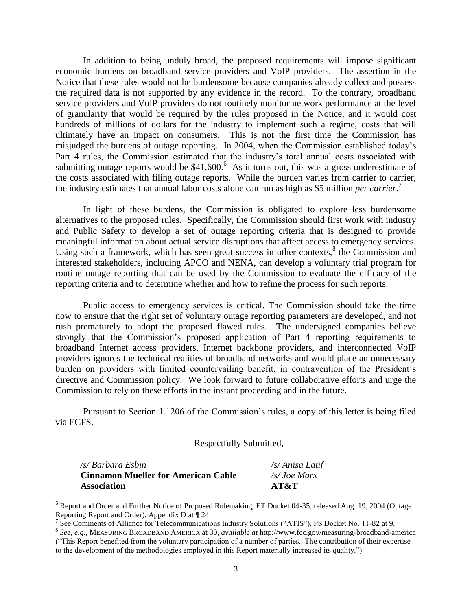In addition to being unduly broad, the proposed requirements will impose significant economic burdens on broadband service providers and VoIP providers. The assertion in the Notice that these rules would not be burdensome because companies already collect and possess the required data is not supported by any evidence in the record. To the contrary, broadband service providers and VoIP providers do not routinely monitor network performance at the level of granularity that would be required by the rules proposed in the Notice, and it would cost hundreds of millions of dollars for the industry to implement such a regime, costs that will ultimately have an impact on consumers. This is not the first time the Commission has misjudged the burdens of outage reporting. In 2004, when the Commission established today's Part 4 rules, the Commission estimated that the industry's total annual costs associated with submitting outage reports would be  $$41,600$ .<sup>6</sup> As it turns out, this was a gross underestimate of the costs associated with filing outage reports. While the burden varies from carrier to carrier, the industry estimates that annual labor costs alone can run as high as \$5 million *per carrier*. 7

In light of these burdens, the Commission is obligated to explore less burdensome alternatives to the proposed rules. Specifically, the Commission should first work with industry and Public Safety to develop a set of outage reporting criteria that is designed to provide meaningful information about actual service disruptions that affect access to emergency services. Using such a framework, which has seen great success in other contexts, $8$  the Commission and interested stakeholders, including APCO and NENA, can develop a voluntary trial program for routine outage reporting that can be used by the Commission to evaluate the efficacy of the reporting criteria and to determine whether and how to refine the process for such reports.

Public access to emergency services is critical. The Commission should take the time now to ensure that the right set of voluntary outage reporting parameters are developed, and not rush prematurely to adopt the proposed flawed rules. The undersigned companies believe strongly that the Commission's proposed application of Part 4 reporting requirements to broadband Internet access providers, Internet backbone providers, and interconnected VoIP providers ignores the technical realities of broadband networks and would place an unnecessary burden on providers with limited countervailing benefit, in contravention of the President's directive and Commission policy. We look forward to future collaborative efforts and urge the Commission to rely on these efforts in the instant proceeding and in the future.

Pursuant to Section 1.1206 of the Commission's rules, a copy of this letter is being filed via ECFS.

Respectfully Submitted,

| /s/ Barbara Esbin                          | /s/ Anisa Latif       |
|--------------------------------------------|-----------------------|
| <b>Cinnamon Mueller for American Cable</b> | $\sqrt{s}$ . Joe Marx |
| <b>Association</b>                         | AT&T                  |

 $\overline{a}$ 

<sup>6</sup> Report and Order and Further Notice of Proposed Rulemaking, ET Docket 04-35, released Aug. 19, 2004 (Outage Reporting Report and Order), Appendix D at ¶ 24.

<sup>&</sup>lt;sup>7</sup> See Comments of Alliance for Telecommunications Industry Solutions ("ATIS"), PS Docket No. 11-82 at 9.

<sup>8</sup> *See, e.g.,* MEASURING BROADBAND AMERICA at 30, *available at* http://www.fcc.gov/measuring-broadband-america ("This Report benefited from the voluntary participation of a number of parties. The contribution of their expertise to the development of the methodologies employed in this Report materially increased its quality.").